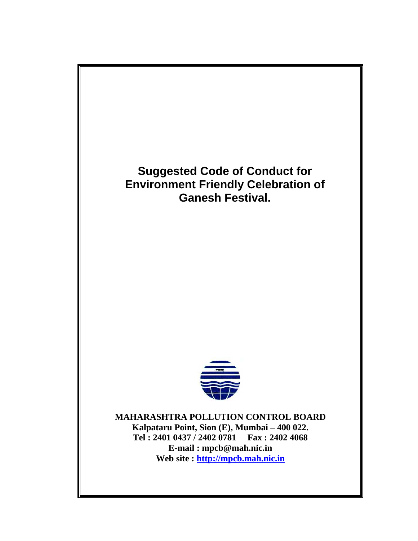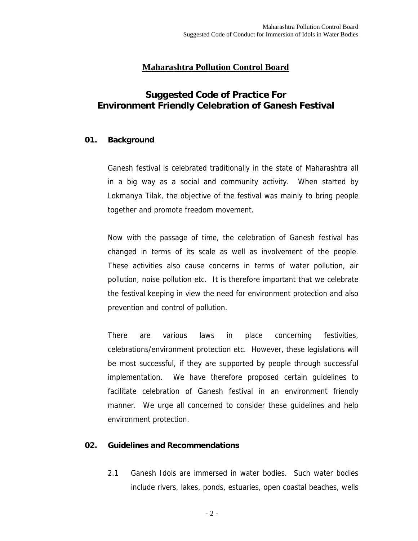# **Maharashtra Pollution Control Board**

# **Suggested Code of Practice For Environment Friendly Celebration of Ganesh Festival**

### **01. Background**

Ganesh festival is celebrated traditionally in the state of Maharashtra all in a big way as a social and community activity. When started by Lokmanya Tilak, the objective of the festival was mainly to bring people together and promote freedom movement.

Now with the passage of time, the celebration of Ganesh festival has changed in terms of its scale as well as involvement of the people. These activities also cause concerns in terms of water pollution, air pollution, noise pollution etc. It is therefore important that we celebrate the festival keeping in view the need for environment protection and also prevention and control of pollution.

There are various laws in place concerning festivities, celebrations/environment protection etc. However, these legislations will be most successful, if they are supported by people through successful implementation. We have therefore proposed certain guidelines to facilitate celebration of Ganesh festival in an environment friendly manner. We urge all concerned to consider these guidelines and help environment protection.

#### **02. Guidelines and Recommendations**

2.1 Ganesh Idols are immersed in water bodies. Such water bodies include rivers, lakes, ponds, estuaries, open coastal beaches, wells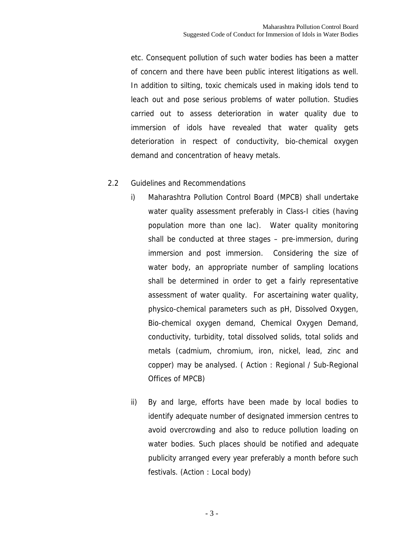etc. Consequent pollution of such water bodies has been a matter of concern and there have been public interest litigations as well. In addition to silting, toxic chemicals used in making idols tend to leach out and pose serious problems of water pollution. Studies carried out to assess deterioration in water quality due to immersion of idols have revealed that water quality gets deterioration in respect of conductivity, bio-chemical oxygen demand and concentration of heavy metals.

### 2.2 Guidelines and Recommendations

- i) Maharashtra Pollution Control Board (MPCB) shall undertake water quality assessment preferably in Class-I cities (having population more than one lac). Water quality monitoring shall be conducted at three stages – pre-immersion, during immersion and post immersion. Considering the size of water body, an appropriate number of sampling locations shall be determined in order to get a fairly representative assessment of water quality. For ascertaining water quality, physico-chemical parameters such as pH, Dissolved Oxygen, Bio-chemical oxygen demand, Chemical Oxygen Demand, conductivity, turbidity, total dissolved solids, total solids and metals (cadmium, chromium, iron, nickel, lead, zinc and copper) may be analysed. ( Action : Regional / Sub-Regional Offices of MPCB)
- ii) By and large, efforts have been made by local bodies to identify adequate number of designated immersion centres to avoid overcrowding and also to reduce pollution loading on water bodies. Such places should be notified and adequate publicity arranged every year preferably a month before such festivals. (Action : Local body)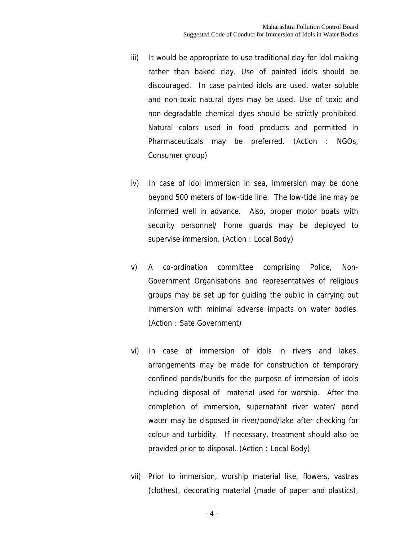- iii) It would be appropriate to use traditional clay for idol making rather than baked clay. Use of painted idols should be discouraged. In case painted idols are used, water soluble and non-toxic natural dyes may be used. Use of toxic and non-degradable chemical dyes should be strictly prohibited. Natural colors used in food products and permitted in Pharmaceuticals may be preferred. (Action : NGOs, Consumer group)
- iv) In case of idol immersion in sea, immersion may be done beyond 500 meters of low-tide line. The low-tide line may be informed well in advance. Also, proper motor boats with security personnel/ home guards may be deployed to supervise immersion. (Action : Local Body)
- v) A co-ordination committee comprising Police, Non-Government Organisations and representatives of religious groups may be set up for guiding the public in carrying out immersion with minimal adverse impacts on water bodies. (Action : Sate Government)
- vi) In case of immersion of idols in rivers and lakes, arrangements may be made for construction of temporary confined ponds/bunds for the purpose of immersion of idols including disposal of material used for worship. After the completion of immersion, supernatant river water/ pond water may be disposed in river/pond/lake after checking for colour and turbidity. If necessary, treatment should also be provided prior to disposal. (Action : Local Body)
- vii) Prior to immersion, worship material like, flowers, vastras (clothes), decorating material (made of paper and plastics),